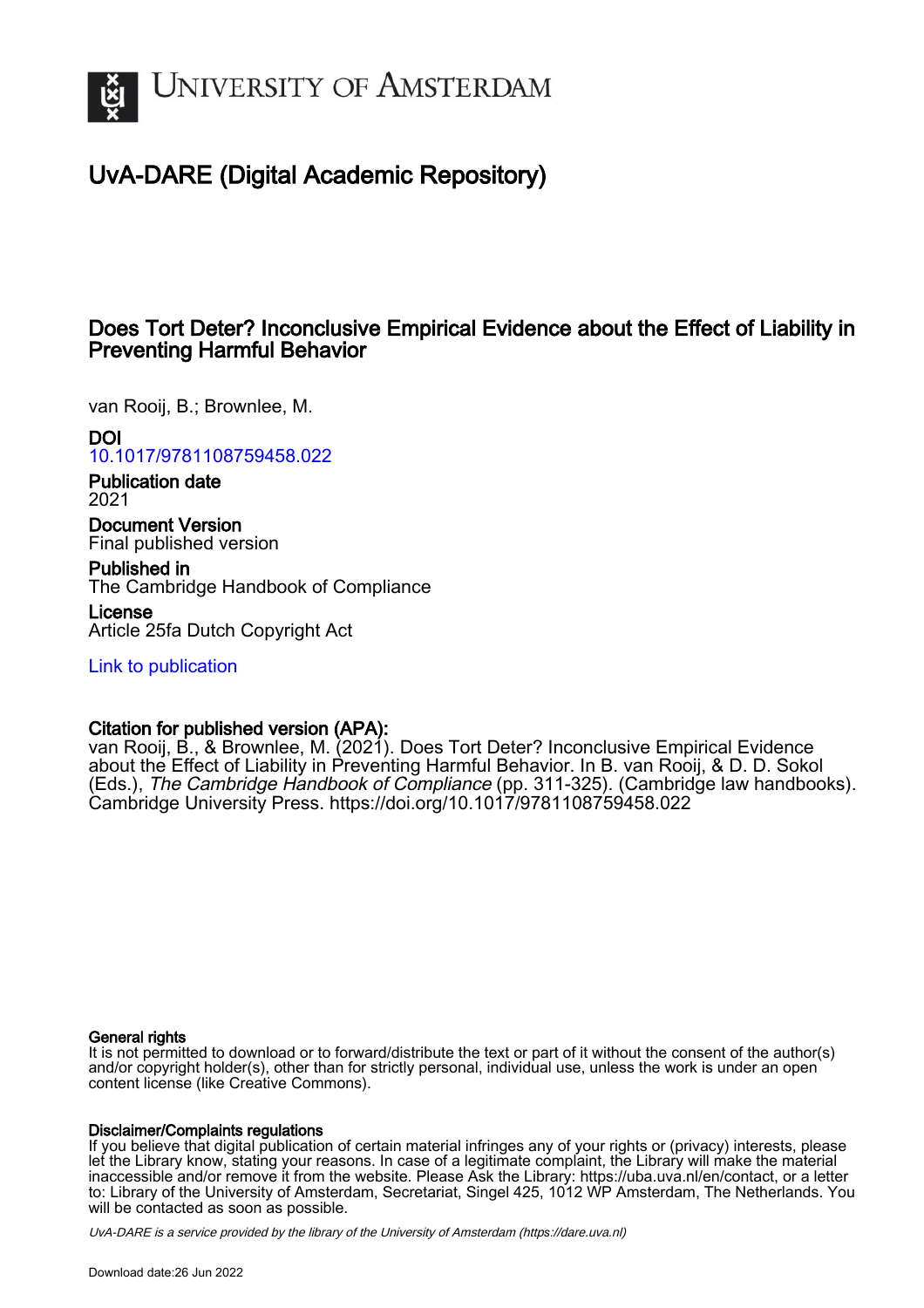

# UvA-DARE (Digital Academic Repository)

# Does Tort Deter? Inconclusive Empirical Evidence about the Effect of Liability in Preventing Harmful Behavior

van Rooij, B.; Brownlee, M.

DOI

[10.1017/9781108759458.022](https://doi.org/10.1017/9781108759458.022)

Publication date 2021

Document Version Final published version

Published in The Cambridge Handbook of Compliance

License Article 25fa Dutch Copyright Act

[Link to publication](https://dare.uva.nl/personal/pure/en/publications/does-tort-deter-inconclusive-empirical-evidence-about-the-effect-of-liability-in-preventing-harmful-behavior(6bb9ec34-ab68-44b4-832f-6264e8b7b9f0).html)

# Citation for published version (APA):

van Rooij, B., & Brownlee, M. (2021). Does Tort Deter? Inconclusive Empirical Evidence about the Effect of Liability in Preventing Harmful Behavior. In B. van Rooij, & D. D. Sokol (Eds.), The Cambridge Handbook of Compliance (pp. 311-325). (Cambridge law handbooks). Cambridge University Press.<https://doi.org/10.1017/9781108759458.022>

## General rights

It is not permitted to download or to forward/distribute the text or part of it without the consent of the author(s) and/or copyright holder(s), other than for strictly personal, individual use, unless the work is under an open content license (like Creative Commons).

## Disclaimer/Complaints regulations

If you believe that digital publication of certain material infringes any of your rights or (privacy) interests, please let the Library know, stating your reasons. In case of a legitimate complaint, the Library will make the material inaccessible and/or remove it from the website. Please Ask the Library: https://uba.uva.nl/en/contact, or a letter to: Library of the University of Amsterdam, Secretariat, Singel 425, 1012 WP Amsterdam, The Netherlands. You will be contacted as soon as possible.

UvA-DARE is a service provided by the library of the University of Amsterdam (http*s*://dare.uva.nl)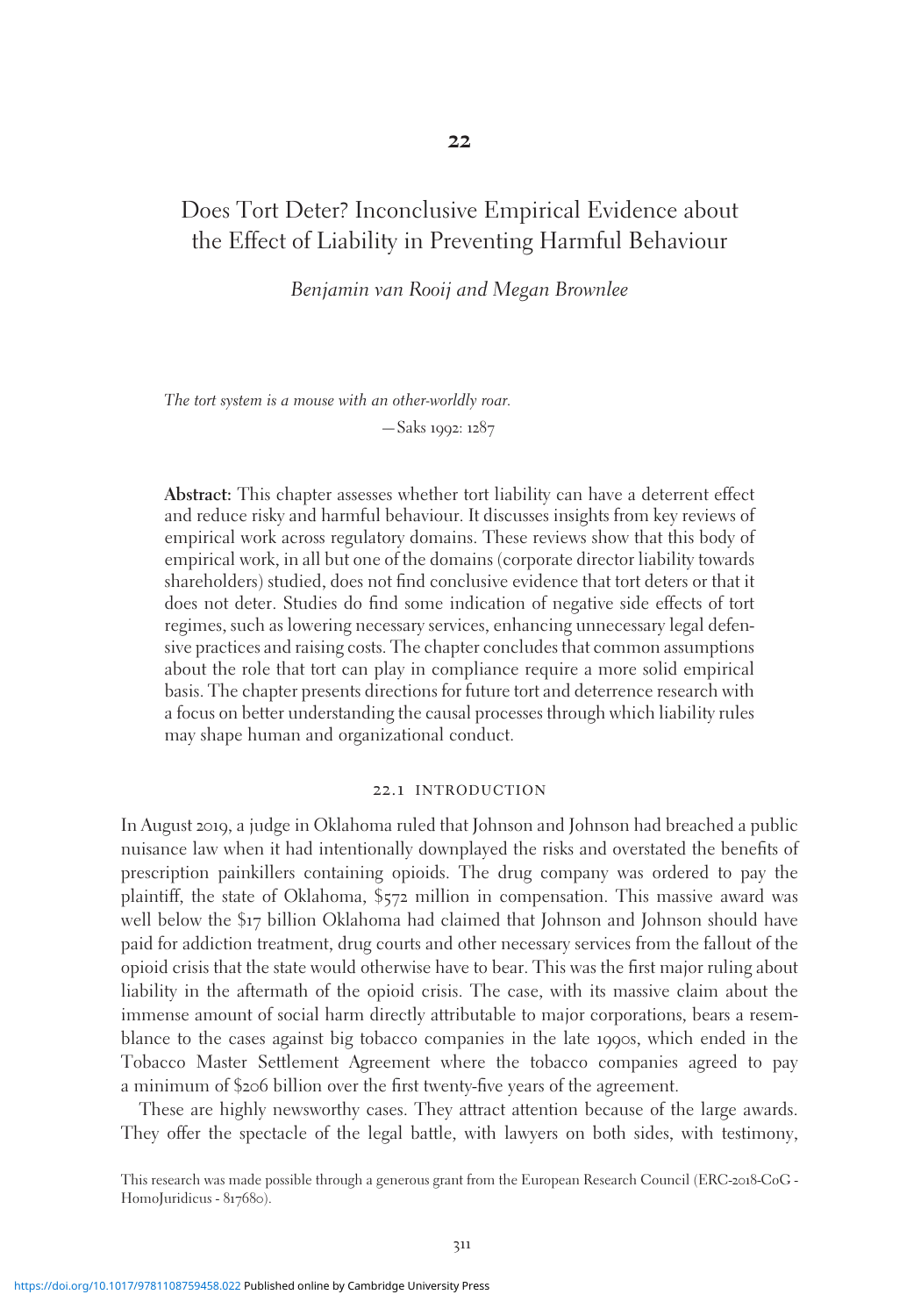# Does Tort Deter? Inconclusive Empirical Evidence about the Effect of Liability in Preventing Harmful Behaviour

Benjamin van Rooij and Megan Brownlee

The tort system is a mouse with an other-worldly roar. —Saks 1992: 1287

Abstract: This chapter assesses whether tort liability can have a deterrent effect and reduce risky and harmful behaviour. It discusses insights from key reviews of empirical work across regulatory domains. These reviews show that this body of empirical work, in all but one of the domains (corporate director liability towards shareholders) studied, does not find conclusive evidence that tort deters or that it does not deter. Studies do find some indication of negative side effects of tort regimes, such as lowering necessary services, enhancing unnecessary legal defensive practices and raising costs. The chapter concludes that common assumptions about the role that tort can play in compliance require a more solid empirical basis. The chapter presents directions for future tort and deterrence research with a focus on better understanding the causal processes through which liability rules may shape human and organizational conduct.

#### 22.1 introduction

In August 2019, a judge in Oklahoma ruled that Johnson and Johnson had breached a public nuisance law when it had intentionally downplayed the risks and overstated the benefits of prescription painkillers containing opioids. The drug company was ordered to pay the plaintiff, the state of Oklahoma, \$572 million in compensation. This massive award was well below the \$17 billion Oklahoma had claimed that Johnson and Johnson should have paid for addiction treatment, drug courts and other necessary services from the fallout of the opioid crisis that the state would otherwise have to bear. This was the first major ruling about liability in the aftermath of the opioid crisis. The case, with its massive claim about the immense amount of social harm directly attributable to major corporations, bears a resemblance to the cases against big tobacco companies in the late 1990s, which ended in the Tobacco Master Settlement Agreement where the tobacco companies agreed to pay a minimum of \$206 billion over the first twenty-five years of the agreement.

These are highly newsworthy cases. They attract attention because of the large awards. They offer the spectacle of the legal battle, with lawyers on both sides, with testimony,

This research was made possible through a generous grant from the European Research Council (ERC-2018-CoG - HomoJuridicus - 817680).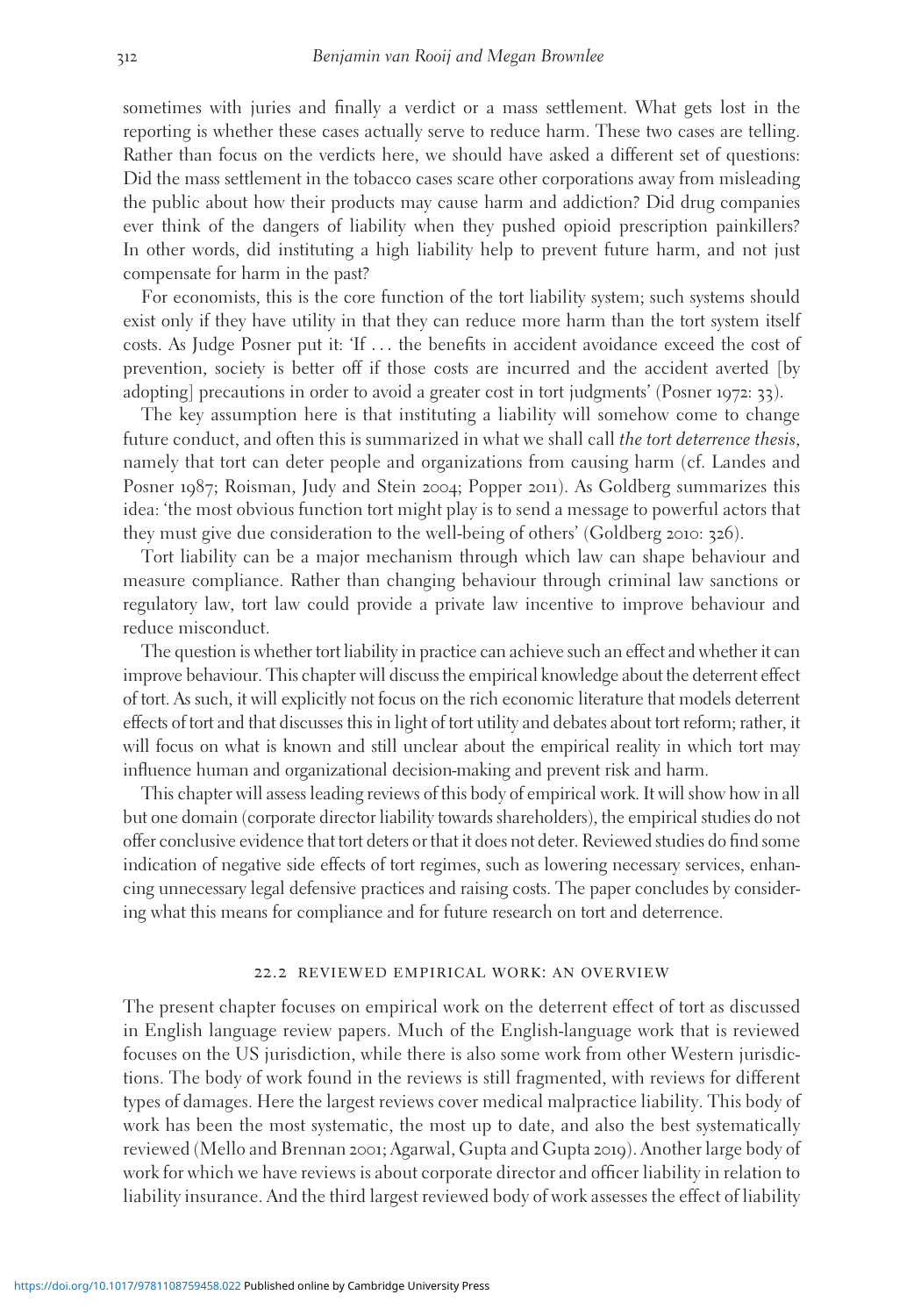sometimes with juries and finally a verdict or a mass settlement. What gets lost in the reporting is whether these cases actually serve to reduce harm. These two cases are telling. Rather than focus on the verdicts here, we should have asked a different set of questions: Did the mass settlement in the tobacco cases scare other corporations away from misleading the public about how their products may cause harm and addiction? Did drug companies ever think of the dangers of liability when they pushed opioid prescription painkillers? In other words, did instituting a high liability help to prevent future harm, and not just compensate for harm in the past?

For economists, this is the core function of the tort liability system; such systems should exist only if they have utility in that they can reduce more harm than the tort system itself costs. As Judge Posner put it: 'If ... the benefits in accident avoidance exceed the cost of prevention, society is better off if those costs are incurred and the accident averted [by adopting] precautions in order to avoid a greater cost in tort judgments' (Posner 1972: 33).

The key assumption here is that instituting a liability will somehow come to change future conduct, and often this is summarized in what we shall call the tort deterrence thesis, namely that tort can deter people and organizations from causing harm (cf. Landes and Posner 1987; Roisman, Judy and Stein 2004; Popper 2011). As Goldberg summarizes this idea: 'the most obvious function tort might play is to send a message to powerful actors that they must give due consideration to the well-being of others' (Goldberg 2010: 326).

Tort liability can be a major mechanism through which law can shape behaviour and measure compliance. Rather than changing behaviour through criminal law sanctions or regulatory law, tort law could provide a private law incentive to improve behaviour and reduce misconduct.

The question is whether tort liability in practice can achieve such an effect and whether it can improve behaviour. This chapter will discuss the empirical knowledge about the deterrent effect of tort. As such, it will explicitly not focus on the rich economic literature that models deterrent effects of tort and that discusses this in light of tort utility and debates about tort reform; rather, it will focus on what is known and still unclear about the empirical reality in which tort may influence human and organizational decision-making and prevent risk and harm.

This chapter will assess leading reviews of this body of empirical work. It will show how in all but one domain (corporate director liability towards shareholders), the empirical studies do not offer conclusive evidence that tort deters or that it does not deter. Reviewed studies do find some indication of negative side effects of tort regimes, such as lowering necessary services, enhancing unnecessary legal defensive practices and raising costs. The paper concludes by considering what this means for compliance and for future research on tort and deterrence.

#### 22.2 reviewed empirical work: an overview

The present chapter focuses on empirical work on the deterrent effect of tort as discussed in English language review papers. Much of the English-language work that is reviewed focuses on the US jurisdiction, while there is also some work from other Western jurisdictions. The body of work found in the reviews is still fragmented, with reviews for different types of damages. Here the largest reviews cover medical malpractice liability. This body of work has been the most systematic, the most up to date, and also the best systematically reviewed (Mello and Brennan 2001; Agarwal, Gupta and Gupta 2019). Another large body of work for which we have reviews is about corporate director and officer liability in relation to liability insurance. And the third largest reviewed body of work assesses the effect of liability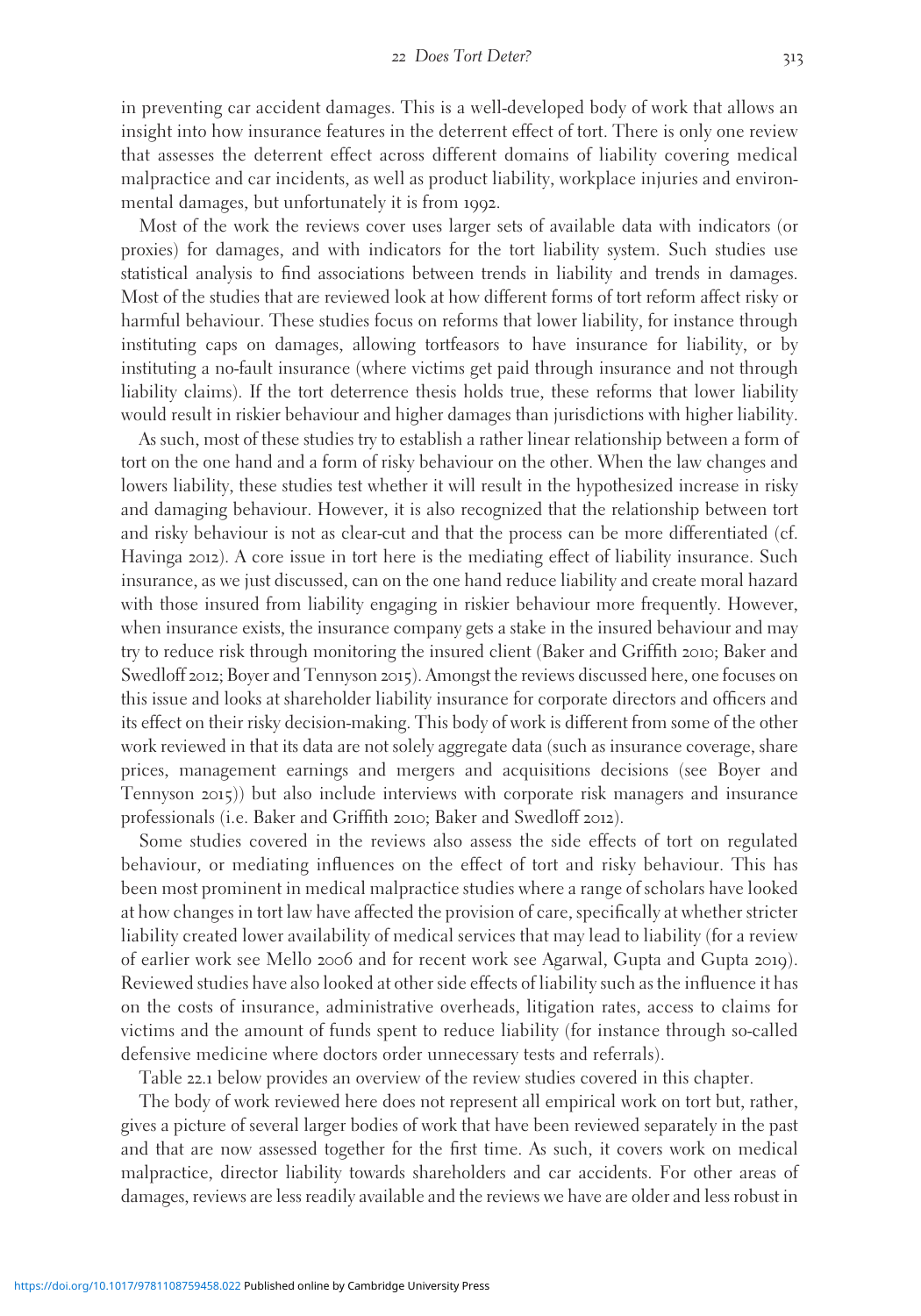in preventing car accident damages. This is a well-developed body of work that allows an insight into how insurance features in the deterrent effect of tort. There is only one review that assesses the deterrent effect across different domains of liability covering medical malpractice and car incidents, as well as product liability, workplace injuries and environmental damages, but unfortunately it is from 1992.

Most of the work the reviews cover uses larger sets of available data with indicators (or proxies) for damages, and with indicators for the tort liability system. Such studies use statistical analysis to find associations between trends in liability and trends in damages. Most of the studies that are reviewed look at how different forms of tort reform affect risky or harmful behaviour. These studies focus on reforms that lower liability, for instance through instituting caps on damages, allowing tortfeasors to have insurance for liability, or by instituting a no-fault insurance (where victims get paid through insurance and not through liability claims). If the tort deterrence thesis holds true, these reforms that lower liability would result in riskier behaviour and higher damages than jurisdictions with higher liability.

As such, most of these studies try to establish a rather linear relationship between a form of tort on the one hand and a form of risky behaviour on the other. When the law changes and lowers liability, these studies test whether it will result in the hypothesized increase in risky and damaging behaviour. However, it is also recognized that the relationship between tort and risky behaviour is not as clear-cut and that the process can be more differentiated (cf. Havinga 2012). A core issue in tort here is the mediating effect of liability insurance. Such insurance, as we just discussed, can on the one hand reduce liability and create moral hazard with those insured from liability engaging in riskier behaviour more frequently. However, when insurance exists, the insurance company gets a stake in the insured behaviour and may try to reduce risk through monitoring the insured client (Baker and Griffith 2010; Baker and Swedloff 2012; Boyer and Tennyson 2015). Amongst the reviews discussed here, one focuses on this issue and looks at shareholder liability insurance for corporate directors and officers and its effect on their risky decision-making. This body of work is different from some of the other work reviewed in that its data are not solely aggregate data (such as insurance coverage, share prices, management earnings and mergers and acquisitions decisions (see Boyer and Tennyson 2015)) but also include interviews with corporate risk managers and insurance professionals (i.e. Baker and Griffith 2010; Baker and Swedloff 2012).

Some studies covered in the reviews also assess the side effects of tort on regulated behaviour, or mediating influences on the effect of tort and risky behaviour. This has been most prominent in medical malpractice studies where a range of scholars have looked at how changes in tort law have affected the provision of care, specifically at whether stricter liability created lower availability of medical services that may lead to liability (for a review of earlier work see Mello 2006 and for recent work see Agarwal, Gupta and Gupta 2019). Reviewed studies have also looked at other side effects of liability such as the influence it has on the costs of insurance, administrative overheads, litigation rates, access to claims for victims and the amount of funds spent to reduce liability (for instance through so-called defensive medicine where doctors order unnecessary tests and referrals).

Table 22.1 below provides an overview of the review studies covered in this chapter.

The body of work reviewed here does not represent all empirical work on tort but, rather, gives a picture of several larger bodies of work that have been reviewed separately in the past and that are now assessed together for the first time. As such, it covers work on medical malpractice, director liability towards shareholders and car accidents. For other areas of damages, reviews are less readily available and the reviews we have are older and less robust in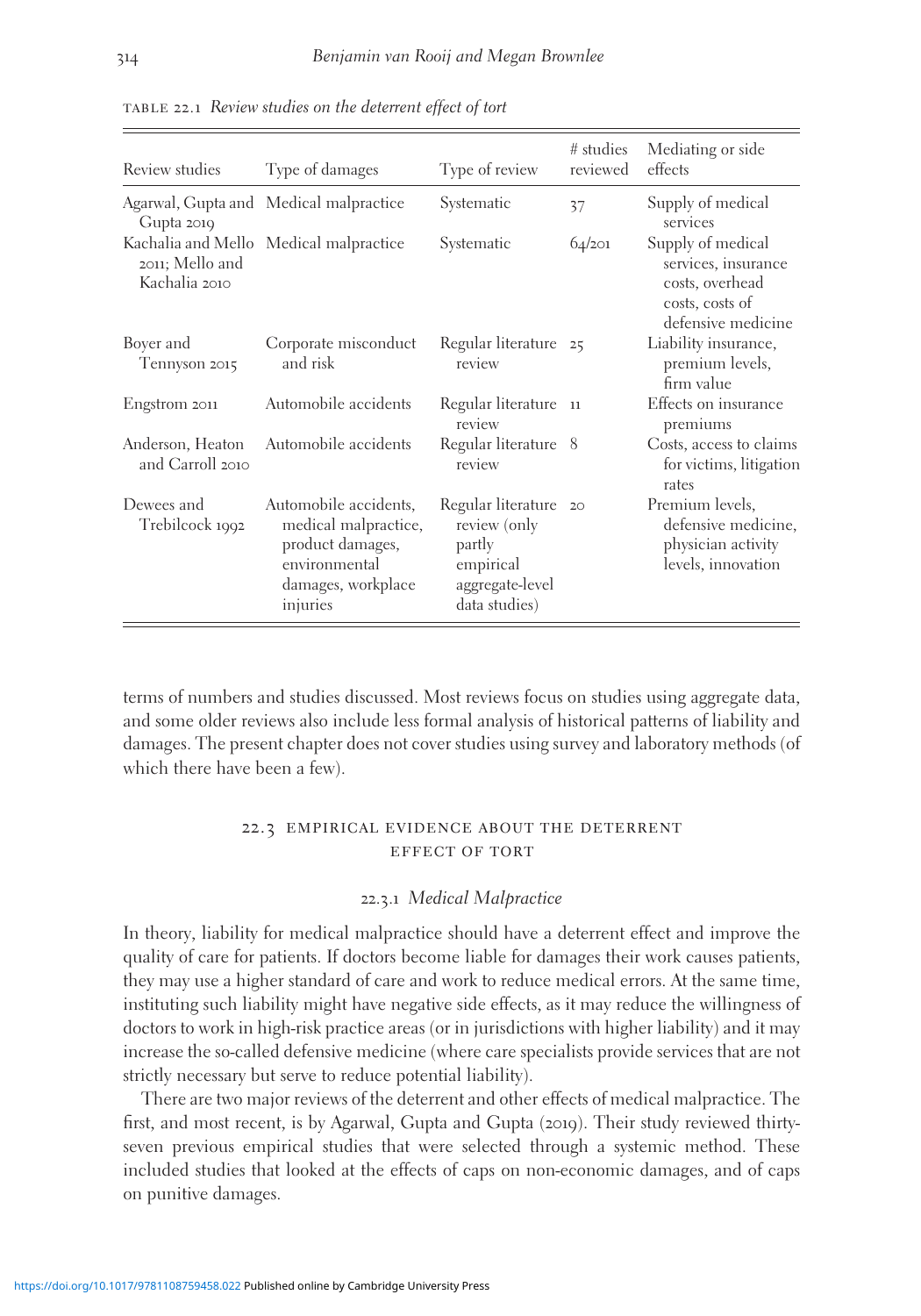| Review studies                       | Type of damages                                                                                                      | Type of review                                                                                | # studies<br>reviewed | Mediating or side<br>effects                                                                         |
|--------------------------------------|----------------------------------------------------------------------------------------------------------------------|-----------------------------------------------------------------------------------------------|-----------------------|------------------------------------------------------------------------------------------------------|
| Gupta 2019                           | Agarwal, Gupta and Medical malpractice                                                                               | Systematic                                                                                    | 37                    | Supply of medical<br>services                                                                        |
| 2011; Mello and<br>Kachalia 2010     | Kachalia and Mello Medical malpractice                                                                               | Systematic                                                                                    | 64/201                | Supply of medical<br>services, insurance<br>costs, overhead<br>costs, costs of<br>defensive medicine |
| Boyer and<br>Tennyson 2015           | Corporate misconduct<br>and risk                                                                                     | Regular literature 25<br>review                                                               |                       | Liability insurance,<br>premium levels,<br>firm value                                                |
| Engstrom 2011                        | Automobile accidents                                                                                                 | Regular literature<br>review                                                                  | <sup>11</sup>         | Effects on insurance<br>premiums                                                                     |
| Anderson, Heaton<br>and Carroll 2010 | Automobile accidents                                                                                                 | Regular literature 8<br>review                                                                |                       | Costs, access to claims<br>for victims, litigation<br>rates                                          |
| Dewees and<br>Trebilcock 1992        | Automobile accidents,<br>medical malpractice,<br>product damages,<br>environmental<br>damages, workplace<br>injuries | Regular literature<br>review (only<br>partly<br>empirical<br>aggregate-level<br>data studies) | 20                    | Premium levels,<br>defensive medicine,<br>physician activity<br>levels, innovation                   |

table 22.1 Review studies on the deterrent effect of tort

terms of numbers and studies discussed. Most reviews focus on studies using aggregate data, and some older reviews also include less formal analysis of historical patterns of liability and damages. The present chapter does not cover studies using survey and laboratory methods (of which there have been a few).

### 22.3 empirical evidence about the deterrent effect of tort

#### 22.3.1 Medical Malpractice

In theory, liability for medical malpractice should have a deterrent effect and improve the quality of care for patients. If doctors become liable for damages their work causes patients, they may use a higher standard of care and work to reduce medical errors. At the same time, instituting such liability might have negative side effects, as it may reduce the willingness of doctors to work in high-risk practice areas (or in jurisdictions with higher liability) and it may increase the so-called defensive medicine (where care specialists provide services that are not strictly necessary but serve to reduce potential liability).

There are two major reviews of the deterrent and other effects of medical malpractice. The first, and most recent, is by Agarwal, Gupta and Gupta (2019). Their study reviewed thirtyseven previous empirical studies that were selected through a systemic method. These included studies that looked at the effects of caps on non-economic damages, and of caps on punitive damages.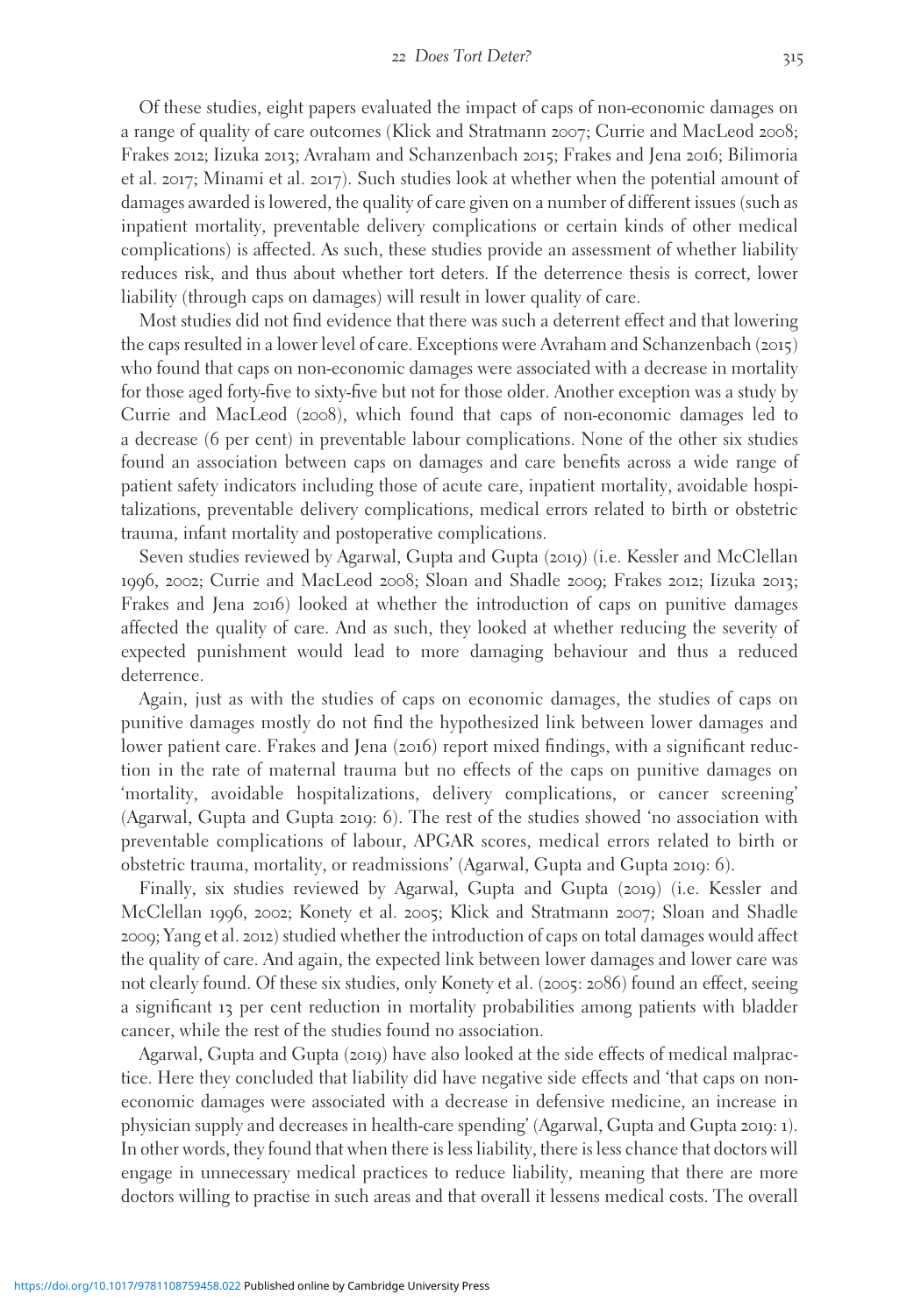Of these studies, eight papers evaluated the impact of caps of non-economic damages on a range of quality of care outcomes (Klick and Stratmann 2007; Currie and MacLeod 2008; Frakes 2012; Iizuka 2013; Avraham and Schanzenbach 2015; Frakes and Jena 2016; Bilimoria et al. 2017; Minami et al. 2017). Such studies look at whether when the potential amount of damages awarded is lowered, the quality of care given on a number of different issues (such as inpatient mortality, preventable delivery complications or certain kinds of other medical complications) is affected. As such, these studies provide an assessment of whether liability reduces risk, and thus about whether tort deters. If the deterrence thesis is correct, lower liability (through caps on damages) will result in lower quality of care.

Most studies did not find evidence that there was such a deterrent effect and that lowering the caps resulted in a lower level of care. Exceptions were Avraham and Schanzenbach (2015) who found that caps on non-economic damages were associated with a decrease in mortality for those aged forty-five to sixty-five but not for those older. Another exception was a study by Currie and MacLeod (2008), which found that caps of non-economic damages led to a decrease (6 per cent) in preventable labour complications. None of the other six studies found an association between caps on damages and care benefits across a wide range of patient safety indicators including those of acute care, inpatient mortality, avoidable hospitalizations, preventable delivery complications, medical errors related to birth or obstetric trauma, infant mortality and postoperative complications.

Seven studies reviewed by Agarwal, Gupta and Gupta (2019) (i.e. Kessler and McClellan 1996, 2002; Currie and MacLeod 2008; Sloan and Shadle 2009; Frakes 2012; Iizuka 2013; Frakes and Jena 2016) looked at whether the introduction of caps on punitive damages affected the quality of care. And as such, they looked at whether reducing the severity of expected punishment would lead to more damaging behaviour and thus a reduced deterrence.

Again, just as with the studies of caps on economic damages, the studies of caps on punitive damages mostly do not find the hypothesized link between lower damages and lower patient care. Frakes and Jena (2016) report mixed findings, with a significant reduction in the rate of maternal trauma but no effects of the caps on punitive damages on 'mortality, avoidable hospitalizations, delivery complications, or cancer screening' (Agarwal, Gupta and Gupta 2019: 6). The rest of the studies showed 'no association with preventable complications of labour, APGAR scores, medical errors related to birth or obstetric trauma, mortality, or readmissions' (Agarwal, Gupta and Gupta 2019: 6).

Finally, six studies reviewed by Agarwal, Gupta and Gupta (2019) (i.e. Kessler and McClellan 1996, 2002; Konety et al. 2005; Klick and Stratmann 2007; Sloan and Shadle 2009; Yang et al. 2012) studied whether the introduction of caps on total damages would affect the quality of care. And again, the expected link between lower damages and lower care was not clearly found. Of these six studies, only Konety et al. (2005: 2086) found an effect, seeing a significant 13 per cent reduction in mortality probabilities among patients with bladder cancer, while the rest of the studies found no association.

Agarwal, Gupta and Gupta (2019) have also looked at the side effects of medical malpractice. Here they concluded that liability did have negative side effects and 'that caps on noneconomic damages were associated with a decrease in defensive medicine, an increase in physician supply and decreases in health-care spending' (Agarwal, Gupta and Gupta 2019: 1). In other words, they found that when there is less liability, there is less chance that doctors will engage in unnecessary medical practices to reduce liability, meaning that there are more doctors willing to practise in such areas and that overall it lessens medical costs. The overall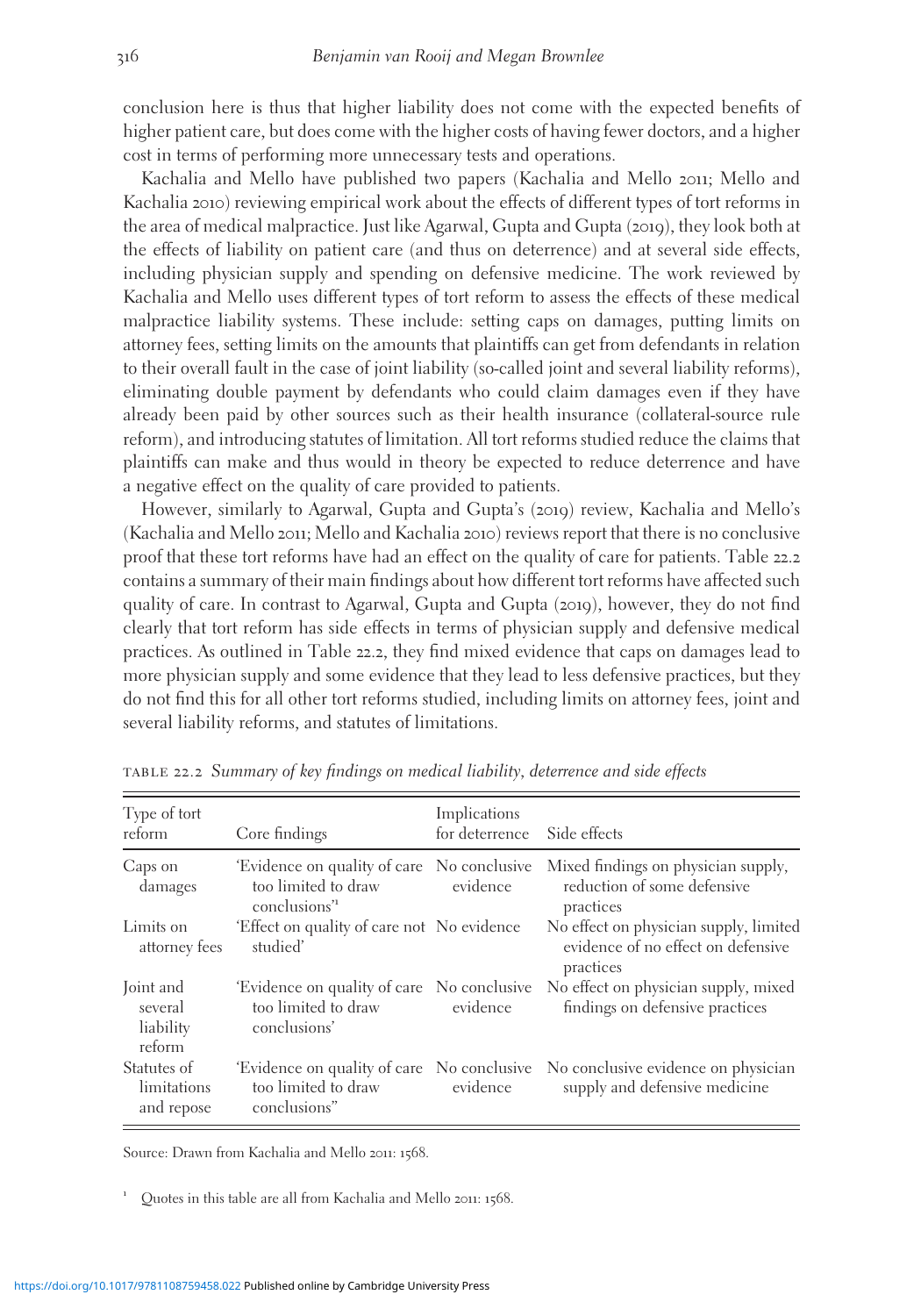conclusion here is thus that higher liability does not come with the expected benefits of higher patient care, but does come with the higher costs of having fewer doctors, and a higher cost in terms of performing more unnecessary tests and operations.

Kachalia and Mello have published two papers (Kachalia and Mello 2011; Mello and Kachalia 2010) reviewing empirical work about the effects of different types of tort reforms in the area of medical malpractice. Just like Agarwal, Gupta and Gupta (2019), they look both at the effects of liability on patient care (and thus on deterrence) and at several side effects, including physician supply and spending on defensive medicine. The work reviewed by Kachalia and Mello uses different types of tort reform to assess the effects of these medical malpractice liability systems. These include: setting caps on damages, putting limits on attorney fees, setting limits on the amounts that plaintiffs can get from defendants in relation to their overall fault in the case of joint liability (so-called joint and several liability reforms), eliminating double payment by defendants who could claim damages even if they have already been paid by other sources such as their health insurance (collateral-source rule reform), and introducing statutes of limitation. All tort reforms studied reduce the claims that plaintiffs can make and thus would in theory be expected to reduce deterrence and have a negative effect on the quality of care provided to patients.

However, similarly to Agarwal, Gupta and Gupta's (2019) review, Kachalia and Mello's (Kachalia and Mello 2011; Mello and Kachalia 2010) reviews report that there is no conclusive proof that these tort reforms have had an effect on the quality of care for patients. Table 22.2 contains a summary of their main findings about how different tort reforms have affected such quality of care. In contrast to Agarwal, Gupta and Gupta (2019), however, they do not find clearly that tort reform has side effects in terms of physician supply and defensive medical practices. As outlined in Table 22.2, they find mixed evidence that caps on damages lead to more physician supply and some evidence that they lead to less defensive practices, but they do not find this for all other tort reforms studied, including limits on attorney fees, joint and several liability reforms, and statutes of limitations.

| Type of tort<br>reform                      | Core findings                                                                                 | Implications<br>for deterrence Side effects |                                                                                                                 |
|---------------------------------------------|-----------------------------------------------------------------------------------------------|---------------------------------------------|-----------------------------------------------------------------------------------------------------------------|
| Caps on<br>damages                          | 'Evidence on quality of care No conclusive<br>too limited to draw<br>conclusions <sup>"</sup> | evidence                                    | Mixed findings on physician supply,<br>reduction of some defensive<br>practices                                 |
| Limits on<br>attorney fees                  | 'Effect on quality of care not No evidence<br>studied'                                        |                                             | No effect on physician supply, limited<br>evidence of no effect on defensive<br>practices                       |
| Joint and<br>several<br>liability<br>reform | 'Evidence on quality of care No conclusive<br>too limited to draw<br>conclusions'             | evidence                                    | No effect on physician supply, mixed<br>findings on defensive practices                                         |
| Statutes of<br>limitations<br>and repose    | too limited to draw<br>conclusions"                                                           | evidence                                    | 'Evidence on quality of care No conclusive No conclusive evidence on physician<br>supply and defensive medicine |

table 22.2 Summary of key findings on medical liability, deterrence and side effects

Source: Drawn from Kachalia and Mello 2011: 1568.

Quotes in this table are all from Kachalia and Mello 2011: 1568.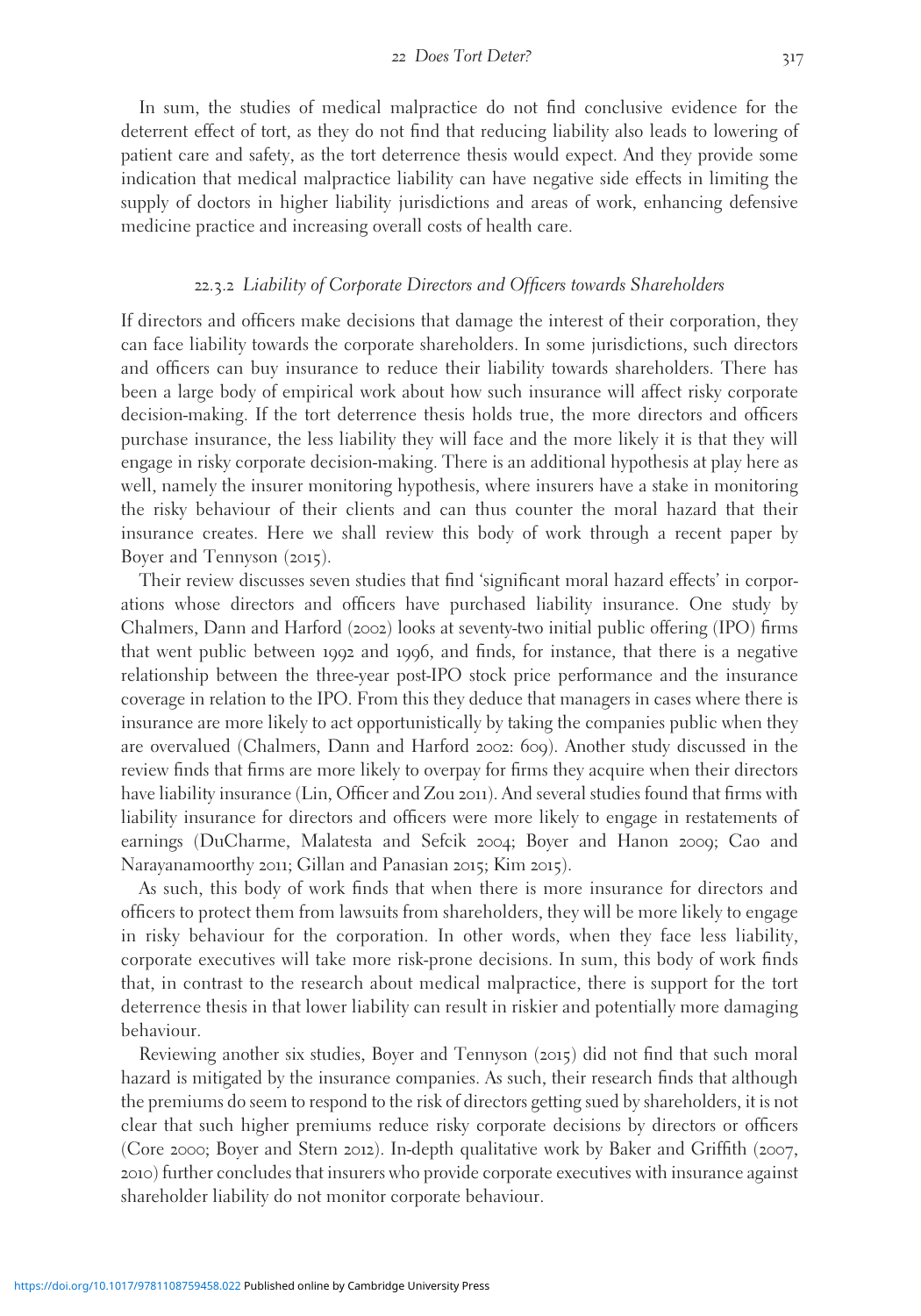In sum, the studies of medical malpractice do not find conclusive evidence for the deterrent effect of tort, as they do not find that reducing liability also leads to lowering of patient care and safety, as the tort deterrence thesis would expect. And they provide some indication that medical malpractice liability can have negative side effects in limiting the supply of doctors in higher liability jurisdictions and areas of work, enhancing defensive medicine practice and increasing overall costs of health care.

#### 22.3.2 Liability of Corporate Directors and Officers towards Shareholders

If directors and officers make decisions that damage the interest of their corporation, they can face liability towards the corporate shareholders. In some jurisdictions, such directors and officers can buy insurance to reduce their liability towards shareholders. There has been a large body of empirical work about how such insurance will affect risky corporate decision-making. If the tort deterrence thesis holds true, the more directors and officers purchase insurance, the less liability they will face and the more likely it is that they will engage in risky corporate decision-making. There is an additional hypothesis at play here as well, namely the insurer monitoring hypothesis, where insurers have a stake in monitoring the risky behaviour of their clients and can thus counter the moral hazard that their insurance creates. Here we shall review this body of work through a recent paper by Boyer and Tennyson (2015).

Their review discusses seven studies that find 'significant moral hazard effects' in corporations whose directors and officers have purchased liability insurance. One study by Chalmers, Dann and Harford (2002) looks at seventy-two initial public offering (IPO) firms that went public between 1992 and 1996, and finds, for instance, that there is a negative relationship between the three-year post-IPO stock price performance and the insurance coverage in relation to the IPO. From this they deduce that managers in cases where there is insurance are more likely to act opportunistically by taking the companies public when they are overvalued (Chalmers, Dann and Harford 2002: 609). Another study discussed in the review finds that firms are more likely to overpay for firms they acquire when their directors have liability insurance (Lin, Officer and Zou 2011). And several studies found that firms with liability insurance for directors and officers were more likely to engage in restatements of earnings (DuCharme, Malatesta and Sefcik 2004; Boyer and Hanon 2009; Cao and Narayanamoorthy 2011; Gillan and Panasian 2015; Kim 2015).

As such, this body of work finds that when there is more insurance for directors and officers to protect them from lawsuits from shareholders, they will be more likely to engage in risky behaviour for the corporation. In other words, when they face less liability, corporate executives will take more risk-prone decisions. In sum, this body of work finds that, in contrast to the research about medical malpractice, there is support for the tort deterrence thesis in that lower liability can result in riskier and potentially more damaging behaviour.

Reviewing another six studies, Boyer and Tennyson (2015) did not find that such moral hazard is mitigated by the insurance companies. As such, their research finds that although the premiums do seem to respond to the risk of directors getting sued by shareholders, it is not clear that such higher premiums reduce risky corporate decisions by directors or officers (Core 2000; Boyer and Stern 2012). In-depth qualitative work by Baker and Griffith (2007, 2010) further concludes that insurers who provide corporate executives with insurance against shareholder liability do not monitor corporate behaviour.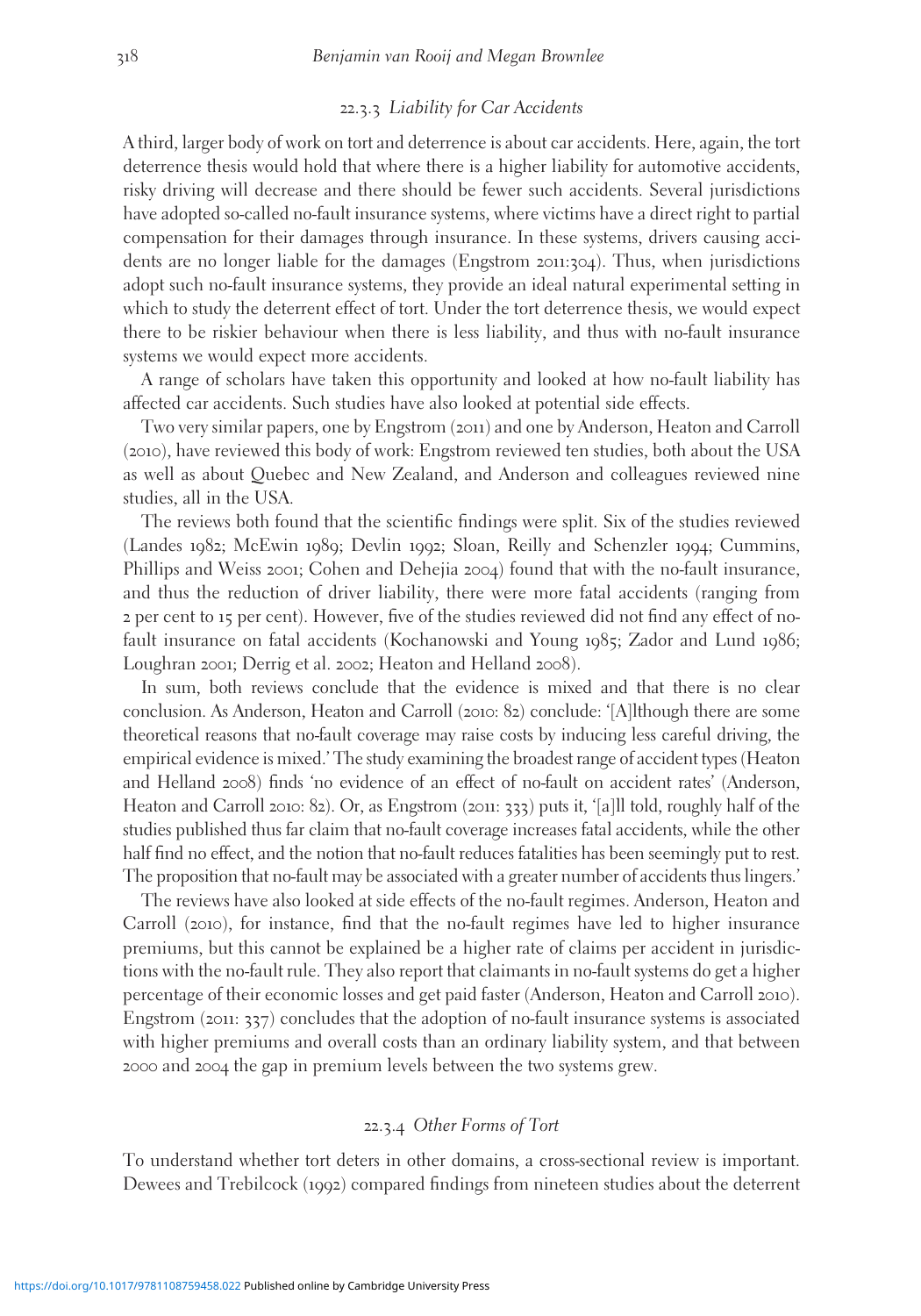### 22.3.3 Liability for Car Accidents

A third, larger body of work on tort and deterrence is about car accidents. Here, again, the tort deterrence thesis would hold that where there is a higher liability for automotive accidents, risky driving will decrease and there should be fewer such accidents. Several jurisdictions have adopted so-called no-fault insurance systems, where victims have a direct right to partial compensation for their damages through insurance. In these systems, drivers causing accidents are no longer liable for the damages (Engstrom 2011:304). Thus, when jurisdictions adopt such no-fault insurance systems, they provide an ideal natural experimental setting in which to study the deterrent effect of tort. Under the tort deterrence thesis, we would expect there to be riskier behaviour when there is less liability, and thus with no-fault insurance systems we would expect more accidents.

A range of scholars have taken this opportunity and looked at how no-fault liability has affected car accidents. Such studies have also looked at potential side effects.

Two very similar papers, one by Engstrom (2011) and one by Anderson, Heaton and Carroll (2010), have reviewed this body of work: Engstrom reviewed ten studies, both about the USA as well as about Quebec and New Zealand, and Anderson and colleagues reviewed nine studies, all in the USA.

The reviews both found that the scientific findings were split. Six of the studies reviewed (Landes 1982; McEwin 1989; Devlin 1992; Sloan, Reilly and Schenzler 1994; Cummins, Phillips and Weiss 2001; Cohen and Dehejia 2004) found that with the no-fault insurance, and thus the reduction of driver liability, there were more fatal accidents (ranging from 2 per cent to 15 per cent). However, five of the studies reviewed did not find any effect of nofault insurance on fatal accidents (Kochanowski and Young 1985; Zador and Lund 1986; Loughran 2001; Derrig et al. 2002; Heaton and Helland 2008).

In sum, both reviews conclude that the evidence is mixed and that there is no clear conclusion. As Anderson, Heaton and Carroll (2010: 82) conclude: '[A]lthough there are some theoretical reasons that no-fault coverage may raise costs by inducing less careful driving, the empirical evidence is mixed.' The study examining the broadest range of accident types (Heaton and Helland 2008) finds 'no evidence of an effect of no-fault on accident rates' (Anderson, Heaton and Carroll 2010: 82). Or, as Engstrom (2011: 333) puts it, '[a]ll told, roughly half of the studies published thus far claim that no-fault coverage increases fatal accidents, while the other half find no effect, and the notion that no-fault reduces fatalities has been seemingly put to rest. The proposition that no-fault may be associated with a greater number of accidents thus lingers.'

The reviews have also looked at side effects of the no-fault regimes. Anderson, Heaton and Carroll (2010), for instance, find that the no-fault regimes have led to higher insurance premiums, but this cannot be explained be a higher rate of claims per accident in jurisdictions with the no-fault rule. They also report that claimants in no-fault systems do get a higher percentage of their economic losses and get paid faster (Anderson, Heaton and Carroll 2010). Engstrom  $(2011: 337)$  concludes that the adoption of no-fault insurance systems is associated with higher premiums and overall costs than an ordinary liability system, and that between 2000 and 2004 the gap in premium levels between the two systems grew.

#### 22.3.4 Other Forms of Tort

To understand whether tort deters in other domains, a cross-sectional review is important. Dewees and Trebilcock (1992) compared findings from nineteen studies about the deterrent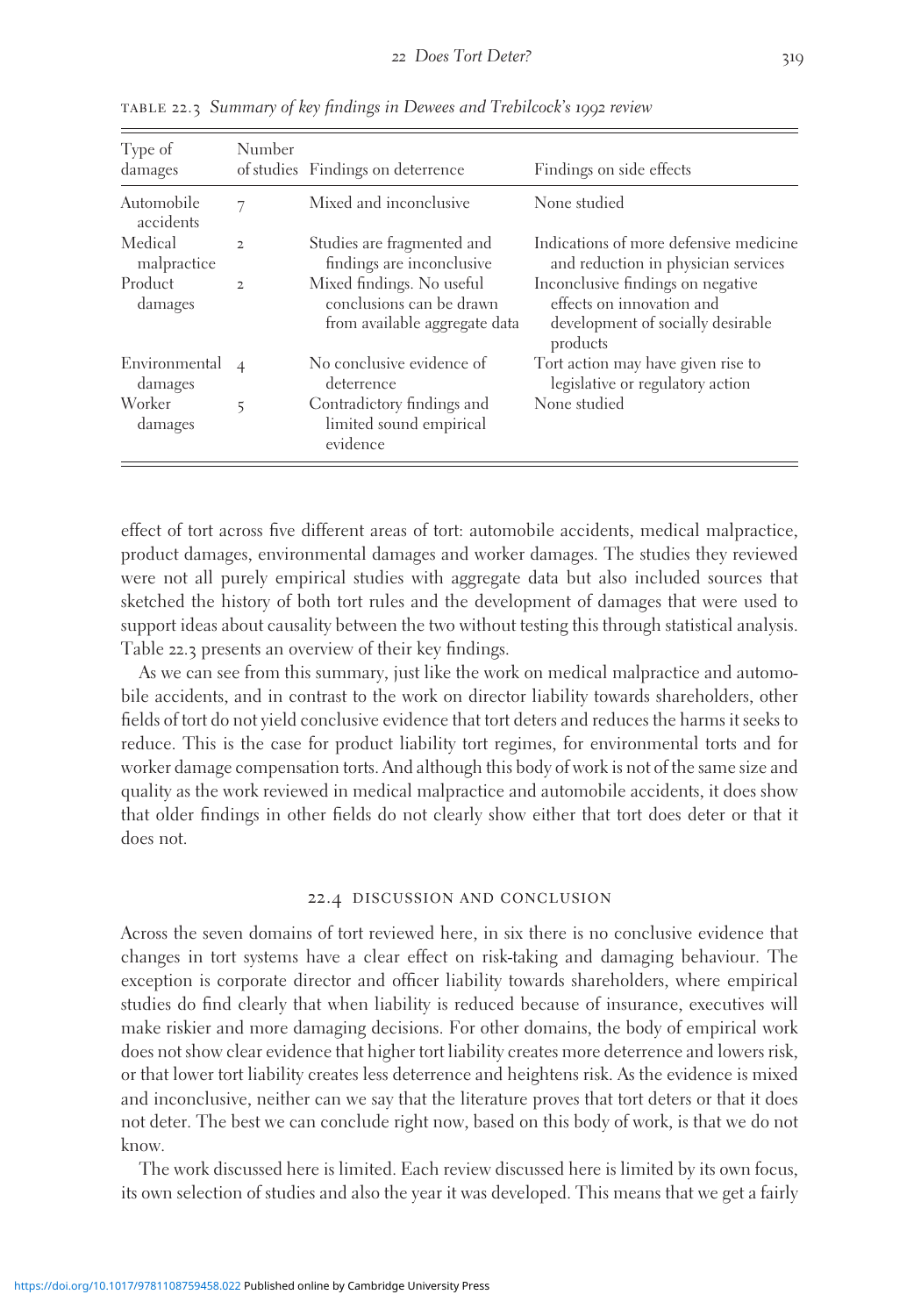| Type of<br>damages       | Number         | of studies Findings on deterrence                                                      | Findings on side effects                                                                                        |
|--------------------------|----------------|----------------------------------------------------------------------------------------|-----------------------------------------------------------------------------------------------------------------|
| Automobile<br>accidents  | 7              | Mixed and inconclusive                                                                 | None studied                                                                                                    |
| Medical<br>malpractice   | $\mathbf{z}$   | Studies are fragmented and<br>findings are inconclusive                                | Indications of more defensive medicine<br>and reduction in physician services                                   |
| Product<br>damages       | $\overline{2}$ | Mixed findings. No useful<br>conclusions can be drawn<br>from available aggregate data | Inconclusive findings on negative<br>effects on innovation and<br>development of socially desirable<br>products |
| Environmental<br>damages | $\overline{4}$ | No conclusive evidence of<br>deterrence                                                | Tort action may have given rise to<br>legislative or regulatory action                                          |
| Worker<br>damages        | 5              | Contradictory findings and<br>limited sound empirical<br>evidence                      | None studied                                                                                                    |

table 22.3 Summary of key findings in Dewees and Trebilcock's 1992 review

effect of tort across five different areas of tort: automobile accidents, medical malpractice, product damages, environmental damages and worker damages. The studies they reviewed were not all purely empirical studies with aggregate data but also included sources that sketched the history of both tort rules and the development of damages that were used to support ideas about causality between the two without testing this through statistical analysis. Table 22.3 presents an overview of their key findings.

As we can see from this summary, just like the work on medical malpractice and automobile accidents, and in contrast to the work on director liability towards shareholders, other fields of tort do not yield conclusive evidence that tort deters and reduces the harms it seeks to reduce. This is the case for product liability tort regimes, for environmental torts and for worker damage compensation torts. And although this body of work is not of the same size and quality as the work reviewed in medical malpractice and automobile accidents, it does show that older findings in other fields do not clearly show either that tort does deter or that it does not.

#### 22.4 discussion and conclusion

Across the seven domains of tort reviewed here, in six there is no conclusive evidence that changes in tort systems have a clear effect on risk-taking and damaging behaviour. The exception is corporate director and officer liability towards shareholders, where empirical studies do find clearly that when liability is reduced because of insurance, executives will make riskier and more damaging decisions. For other domains, the body of empirical work does not show clear evidence that higher tort liability creates more deterrence and lowers risk, or that lower tort liability creates less deterrence and heightens risk. As the evidence is mixed and inconclusive, neither can we say that the literature proves that tort deters or that it does not deter. The best we can conclude right now, based on this body of work, is that we do not know.

The work discussed here is limited. Each review discussed here is limited by its own focus, its own selection of studies and also the year it was developed. This means that we get a fairly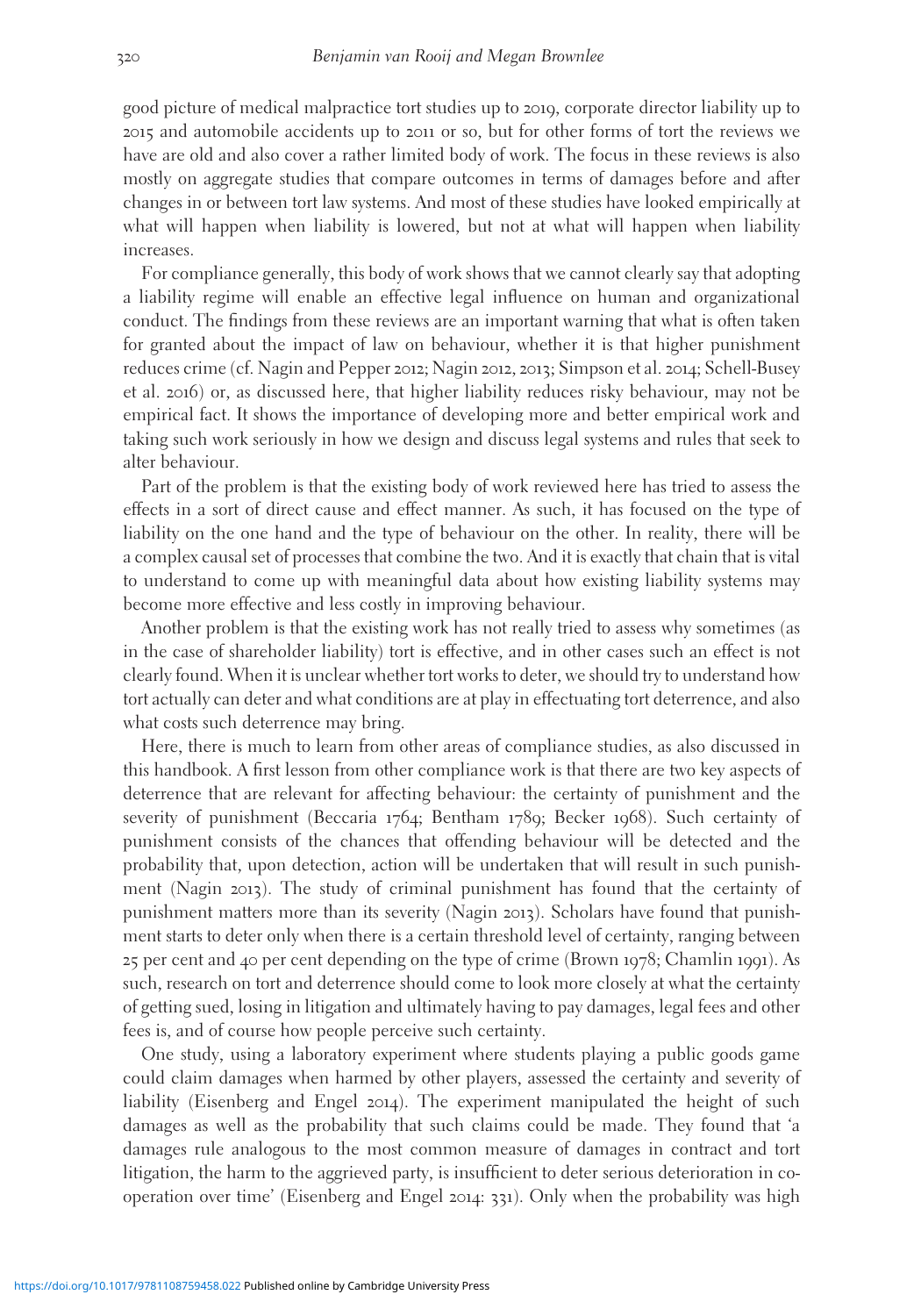good picture of medical malpractice tort studies up to 2019, corporate director liability up to 2015 and automobile accidents up to 2011 or so, but for other forms of tort the reviews we have are old and also cover a rather limited body of work. The focus in these reviews is also mostly on aggregate studies that compare outcomes in terms of damages before and after changes in or between tort law systems. And most of these studies have looked empirically at what will happen when liability is lowered, but not at what will happen when liability increases.

For compliance generally, this body of work shows that we cannot clearly say that adopting a liability regime will enable an effective legal influence on human and organizational conduct. The findings from these reviews are an important warning that what is often taken for granted about the impact of law on behaviour, whether it is that higher punishment reduces crime (cf. Nagin and Pepper 2012; Nagin 2012, 2013; Simpson et al. 2014; Schell-Busey et al. 2016) or, as discussed here, that higher liability reduces risky behaviour, may not be empirical fact. It shows the importance of developing more and better empirical work and taking such work seriously in how we design and discuss legal systems and rules that seek to alter behaviour.

Part of the problem is that the existing body of work reviewed here has tried to assess the effects in a sort of direct cause and effect manner. As such, it has focused on the type of liability on the one hand and the type of behaviour on the other. In reality, there will be a complex causal set of processes that combine the two. And it is exactly that chain that is vital to understand to come up with meaningful data about how existing liability systems may become more effective and less costly in improving behaviour.

Another problem is that the existing work has not really tried to assess why sometimes (as in the case of shareholder liability) tort is effective, and in other cases such an effect is not clearly found. When it is unclear whether tort works to deter, we should try to understand how tort actually can deter and what conditions are at play in effectuating tort deterrence, and also what costs such deterrence may bring.

Here, there is much to learn from other areas of compliance studies, as also discussed in this handbook. A first lesson from other compliance work is that there are two key aspects of deterrence that are relevant for affecting behaviour: the certainty of punishment and the severity of punishment (Beccaria 1764; Bentham 1789; Becker 1968). Such certainty of punishment consists of the chances that offending behaviour will be detected and the probability that, upon detection, action will be undertaken that will result in such punishment (Nagin 2013). The study of criminal punishment has found that the certainty of punishment matters more than its severity (Nagin 2013). Scholars have found that punishment starts to deter only when there is a certain threshold level of certainty, ranging between 25 per cent and 40 per cent depending on the type of crime (Brown 1978; Chamlin 1991). As such, research on tort and deterrence should come to look more closely at what the certainty of getting sued, losing in litigation and ultimately having to pay damages, legal fees and other fees is, and of course how people perceive such certainty.

One study, using a laboratory experiment where students playing a public goods game could claim damages when harmed by other players, assessed the certainty and severity of liability (Eisenberg and Engel 2014). The experiment manipulated the height of such damages as well as the probability that such claims could be made. They found that 'a damages rule analogous to the most common measure of damages in contract and tort litigation, the harm to the aggrieved party, is insufficient to deter serious deterioration in cooperation over time' (Eisenberg and Engel 2014: 331). Only when the probability was high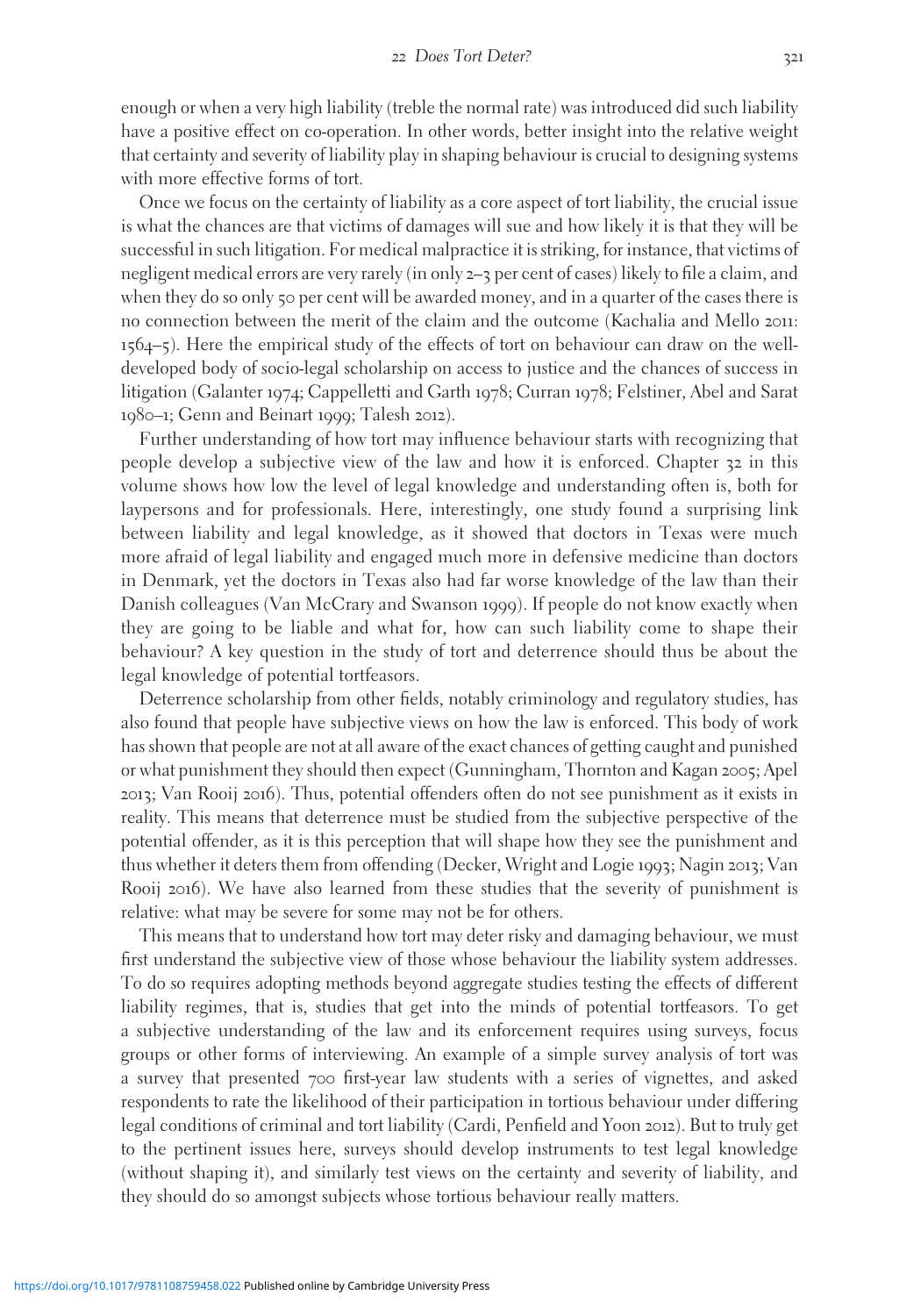enough or when a very high liability (treble the normal rate) was introduced did such liability have a positive effect on co-operation. In other words, better insight into the relative weight that certainty and severity of liability play in shaping behaviour is crucial to designing systems with more effective forms of tort.

Once we focus on the certainty of liability as a core aspect of tort liability, the crucial issue is what the chances are that victims of damages will sue and how likely it is that they will be successful in such litigation. For medical malpractice it is striking, for instance, that victims of negligent medical errors are very rarely (in only 2–3 per cent of cases) likely to file a claim, and when they do so only 50 per cent will be awarded money, and in a quarter of the cases there is no connection between the merit of the claim and the outcome (Kachalia and Mello 2011: 1564–5). Here the empirical study of the effects of tort on behaviour can draw on the welldeveloped body of socio-legal scholarship on access to justice and the chances of success in litigation (Galanter 1974; Cappelletti and Garth 1978; Curran 1978; Felstiner, Abel and Sarat 1980–1; Genn and Beinart 1999; Talesh 2012).

Further understanding of how tort may influence behaviour starts with recognizing that people develop a subjective view of the law and how it is enforced. Chapter 32 in this volume shows how low the level of legal knowledge and understanding often is, both for laypersons and for professionals. Here, interestingly, one study found a surprising link between liability and legal knowledge, as it showed that doctors in Texas were much more afraid of legal liability and engaged much more in defensive medicine than doctors in Denmark, yet the doctors in Texas also had far worse knowledge of the law than their Danish colleagues (Van McCrary and Swanson 1999). If people do not know exactly when they are going to be liable and what for, how can such liability come to shape their behaviour? A key question in the study of tort and deterrence should thus be about the legal knowledge of potential tortfeasors.

Deterrence scholarship from other fields, notably criminology and regulatory studies, has also found that people have subjective views on how the law is enforced. This body of work has shown that people are not at all aware of the exact chances of getting caught and punished or what punishment they should then expect (Gunningham, Thornton and Kagan 2005; Apel 2013; Van Rooij 2016). Thus, potential offenders often do not see punishment as it exists in reality. This means that deterrence must be studied from the subjective perspective of the potential offender, as it is this perception that will shape how they see the punishment and thus whether it deters them from offending (Decker, Wright and Logie 1993; Nagin 2013; Van Rooij 2016). We have also learned from these studies that the severity of punishment is relative: what may be severe for some may not be for others.

This means that to understand how tort may deter risky and damaging behaviour, we must first understand the subjective view of those whose behaviour the liability system addresses. To do so requires adopting methods beyond aggregate studies testing the effects of different liability regimes, that is, studies that get into the minds of potential tortfeasors. To get a subjective understanding of the law and its enforcement requires using surveys, focus groups or other forms of interviewing. An example of a simple survey analysis of tort was a survey that presented 700 first-year law students with a series of vignettes, and asked respondents to rate the likelihood of their participation in tortious behaviour under differing legal conditions of criminal and tort liability (Cardi, Penfield and Yoon 2012). But to truly get to the pertinent issues here, surveys should develop instruments to test legal knowledge (without shaping it), and similarly test views on the certainty and severity of liability, and they should do so amongst subjects whose tortious behaviour really matters.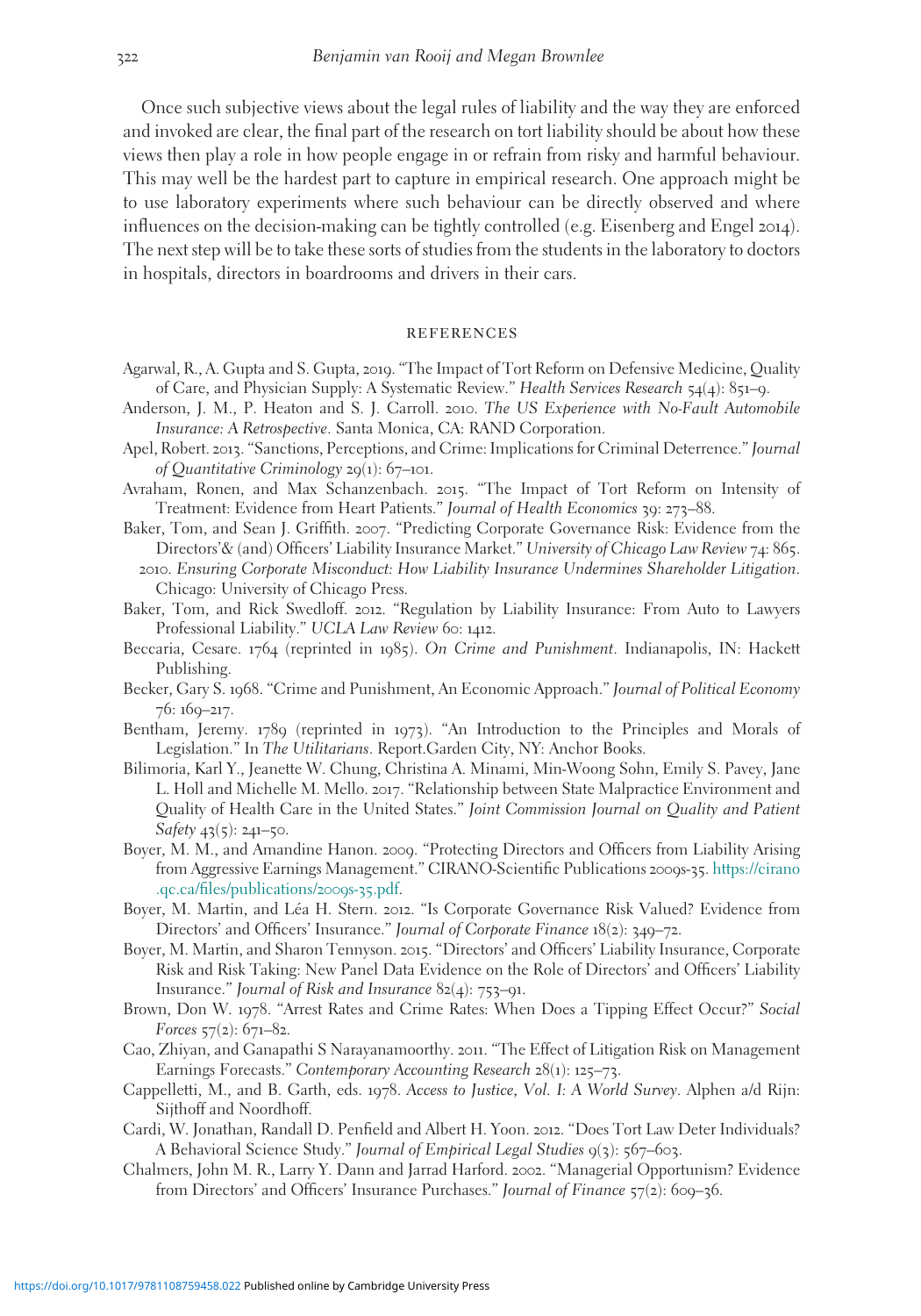Once such subjective views about the legal rules of liability and the way they are enforced and invoked are clear, the final part of the research on tort liability should be about how these views then play a role in how people engage in or refrain from risky and harmful behaviour. This may well be the hardest part to capture in empirical research. One approach might be to use laboratory experiments where such behaviour can be directly observed and where influences on the decision-making can be tightly controlled (e.g. Eisenberg and Engel 2014). The next step will be to take these sorts of studies from the students in the laboratory to doctors in hospitals, directors in boardrooms and drivers in their cars.

#### **REFERENCES**

- Agarwal, R., A. Gupta and S. Gupta, 2019. "The Impact of Tort Reform on Defensive Medicine, Quality of Care, and Physician Supply: A Systematic Review." Health Services Research 54(4): 851–9.
- Anderson, J. M., P. Heaton and S. J. Carroll. 2010. The US Experience with No-Fault Automobile Insurance: A Retrospective. Santa Monica, CA: RAND Corporation.
- Apel, Robert. 2013. "Sanctions, Perceptions, and Crime: Implications for Criminal Deterrence." Journal of Quantitative Criminology 29(1): 67–101.
- Avraham, Ronen, and Max Schanzenbach. 2015. "The Impact of Tort Reform on Intensity of Treatment: Evidence from Heart Patients." Journal of Health Economics 39: 273–88.
- Baker, Tom, and Sean J. Griffith. 2007. "Predicting Corporate Governance Risk: Evidence from the Directors'& (and) Officers' Liability Insurance Market." University of Chicago Law Review 74: 865.
	- 2010. Ensuring Corporate Misconduct: How Liability Insurance Undermines Shareholder Litigation. Chicago: University of Chicago Press.
- Baker, Tom, and Rick Swedloff. 2012. "Regulation by Liability Insurance: From Auto to Lawyers Professional Liability." UCLA Law Review 60: 1412.
- Beccaria, Cesare. 1764 (reprinted in 1985). On Crime and Punishment. Indianapolis, IN: Hackett Publishing.
- Becker, Gary S. 1968. "Crime and Punishment, An Economic Approach." Journal of Political Economy 76: 169–217.
- Bentham, Jeremy. 1789 (reprinted in 1973). "An Introduction to the Principles and Morals of Legislation." In The Utilitarians. Report.Garden City, NY: Anchor Books.
- Bilimoria, Karl Y., Jeanette W. Chung, Christina A. Minami, Min-Woong Sohn, Emily S. Pavey, Jane L. Holl and Michelle M. Mello. 2017. "Relationship between State Malpractice Environment and Quality of Health Care in the United States." Joint Commission Journal on Quality and Patient Safety 43(5): 241-50.
- Boyer, M. M., and Amandine Hanon. 2009. "Protecting Directors and Officers from Liability Arising from Aggressive Earnings Management." CIRANO-Scientific Publications 2009s-35. [https://cirano](https://cirano.qc.ca/files/publications/2009s-35.pdf) [.qc.ca/files/publications/](https://cirano.qc.ca/files/publications/2009s-35.pdf)2009s-35.pdf.
- Boyer, M. Martin, and Léa H. Stern. 2012. "Is Corporate Governance Risk Valued? Evidence from Directors' and Officers' Insurance." Journal of Corporate Finance 18(2): 349–72.
- Boyer, M. Martin, and Sharon Tennyson. 2015. "Directors' and Officers' Liability Insurance, Corporate Risk and Risk Taking: New Panel Data Evidence on the Role of Directors' and Officers' Liability Insurance." Journal of Risk and Insurance 82(4): 753–91.
- Brown, Don W. 1978. "Arrest Rates and Crime Rates: When Does a Tipping Effect Occur?" Social Forces  $57(2)$ : 671–82.
- Cao, Zhiyan, and Ganapathi S Narayanamoorthy. 2011. "The Effect of Litigation Risk on Management Earnings Forecasts." Contemporary Accounting Research 28(1): 125–73.
- Cappelletti, M., and B. Garth, eds. 1978. Access to Justice, Vol. I: A World Survey. Alphen a/d Rijn: Sijthoff and Noordhoff.
- Cardi, W. Jonathan, Randall D. Penfield and Albert H. Yoon. 2012. "Does Tort Law Deter Individuals? A Behavioral Science Study." Journal of Empirical Legal Studies 9(3): 567-603.
- Chalmers, John M. R., Larry Y. Dann and Jarrad Harford. 2002. "Managerial Opportunism? Evidence from Directors' and Officers' Insurance Purchases." Journal of Finance 57(2): 609-36.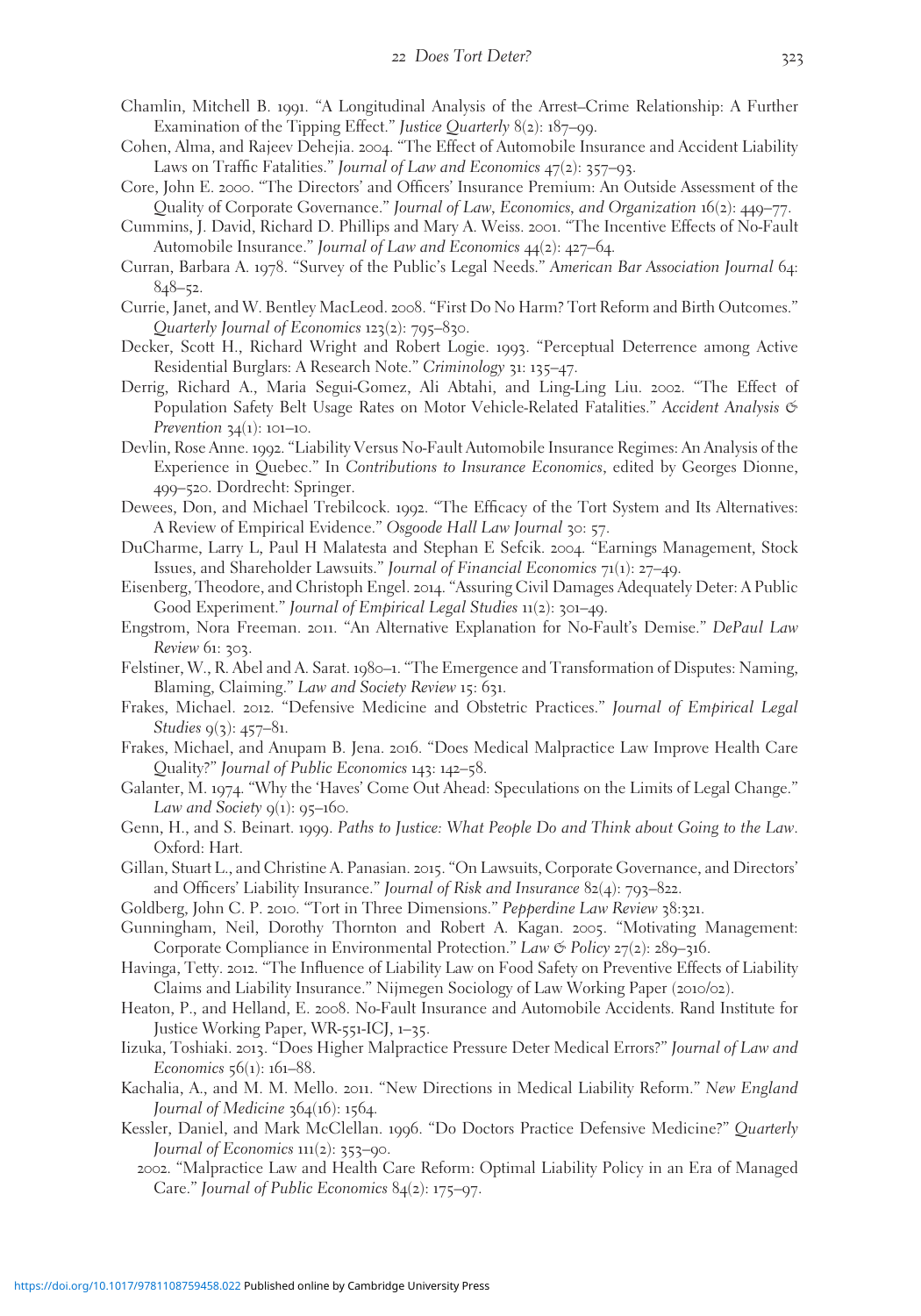- Chamlin, Mitchell B. 1991. "A Longitudinal Analysis of the Arrest–Crime Relationship: A Further Examination of the Tipping Effect." Justice Quarterly 8(2): 187–99.
- Cohen, Alma, and Rajeev Dehejia. 2004. "The Effect of Automobile Insurance and Accident Liability Laws on Traffic Fatalities." Journal of Law and Economics 47(2): 357–93.
- Core, John E. 2000. "The Directors' and Officers' Insurance Premium: An Outside Assessment of the Quality of Corporate Governance." Journal of Law, Economics, and Organization 16(2): 449–77.
- Cummins, J. David, Richard D. Phillips and Mary A. Weiss. 2001. "The Incentive Effects of No-Fault Automobile Insurance." Journal of Law and Economics 44(2): 427–64.
- Curran, Barbara A. 1978. "Survey of the Public's Legal Needs." American Bar Association Journal 64: 848–52.
- Currie, Janet, and W. Bentley MacLeod. 2008. "First Do No Harm? Tort Reform and Birth Outcomes." Quarterly Journal of Economics 123(2): 795–830.
- Decker, Scott H., Richard Wright and Robert Logie. 1993. "Perceptual Deterrence among Active Residential Burglars: A Research Note." Criminology 31: 135–47.
- Derrig, Richard A., Maria Segui-Gomez, Ali Abtahi, and Ling-Ling Liu. 2002. "The Effect of Population Safety Belt Usage Rates on Motor Vehicle-Related Fatalities." Accident Analysis & *Prevention*  $34(1)$ : 101–10.
- Devlin, Rose Anne. 1992. "Liability Versus No-Fault Automobile Insurance Regimes: An Analysis of the Experience in Quebec." In Contributions to Insurance Economics, edited by Georges Dionne, 499–520. Dordrecht: Springer.
- Dewees, Don, and Michael Trebilcock. 1992. "The Efficacy of the Tort System and Its Alternatives: A Review of Empirical Evidence." Osgoode Hall Law Journal 30: 57.
- DuCharme, Larry L, Paul H Malatesta and Stephan E Sefcik. 2004. "Earnings Management, Stock Issues, and Shareholder Lawsuits." Journal of Financial Economics 71(1): 27–49.
- Eisenberg, Theodore, and Christoph Engel. 2014. "Assuring Civil Damages Adequately Deter: A Public Good Experiment." Journal of Empirical Legal Studies 11(2): 301–49.
- Engstrom, Nora Freeman. 2011. "An Alternative Explanation for No-Fault's Demise." DePaul Law Review 61: 303.
- Felstiner, W., R. Abel and A. Sarat. 1980–1. "The Emergence and Transformation of Disputes: Naming, Blaming, Claiming." Law and Society Review 15: 631.
- Frakes, Michael. 2012. "Defensive Medicine and Obstetric Practices." Journal of Empirical Legal Studies  $q(3)$ : 457–81.
- Frakes, Michael, and Anupam B. Jena. 2016. "Does Medical Malpractice Law Improve Health Care Quality?" Journal of Public Economics 143: 142–58.
- Galanter, M. 1974. "Why the 'Haves' Come Out Ahead: Speculations on the Limits of Legal Change." Law and Society  $q(1)$ :  $q5-160$ .
- Genn, H., and S. Beinart. 1999. Paths to Justice: What People Do and Think about Going to the Law. Oxford: Hart.
- Gillan, Stuart L., and Christine A. Panasian. 2015. "On Lawsuits, Corporate Governance, and Directors' and Officers' Liability Insurance." Journal of Risk and Insurance  $82(4)$ : 793–822.
- Goldberg, John C. P. 2010. "Tort in Three Dimensions." Pepperdine Law Review 38:321.
- Gunningham, Neil, Dorothy Thornton and Robert A. Kagan. 2005. "Motivating Management: Corporate Compliance in Environmental Protection." Law  $\mathfrak{G}$  Policy 27(2): 289–316.
- Havinga, Tetty. 2012. "The Influence of Liability Law on Food Safety on Preventive Effects of Liability Claims and Liability Insurance." Nijmegen Sociology of Law Working Paper (2010/02).
- Heaton, P., and Helland, E. 2008. No-Fault Insurance and Automobile Accidents. Rand Institute for Justice Working Paper, WR-551-ICJ, 1–35.
- Iizuka, Toshiaki. 2013. "Does Higher Malpractice Pressure Deter Medical Errors?" Journal of Law and Economics 56(1): 161–88.
- Kachalia, A., and M. M. Mello. 2011. "New Directions in Medical Liability Reform." New England Journal of Medicine  $364(16)$ : 1564.
- Kessler, Daniel, and Mark McClellan. 1996. "Do Doctors Practice Defensive Medicine?" Quarterly Journal of Economics 111(2): 353–90.
	- 2002. "Malpractice Law and Health Care Reform: Optimal Liability Policy in an Era of Managed Care." Journal of Public Economics 84(2): 175–97.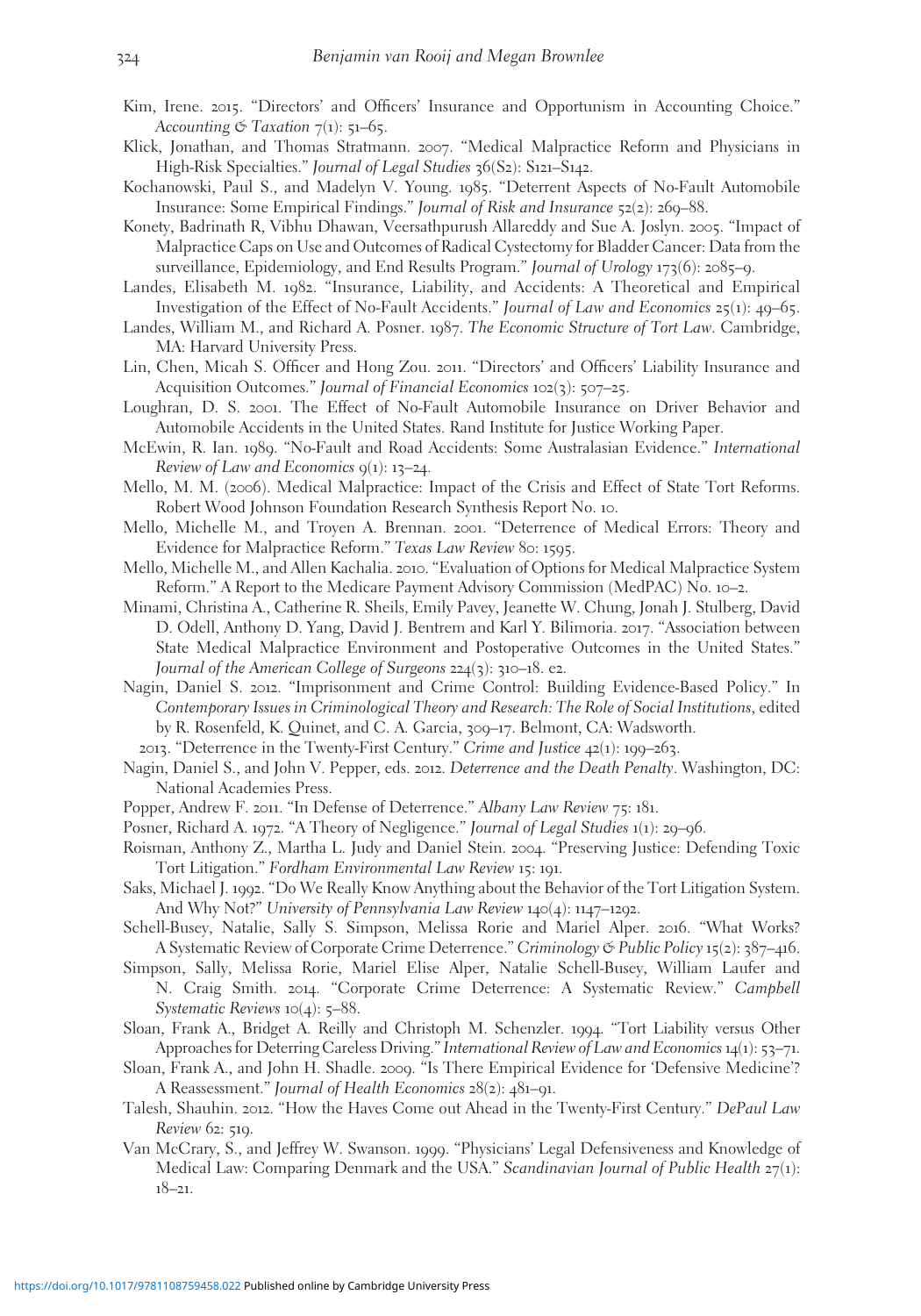- Kim, Irene. 2015. "Directors' and Officers' Insurance and Opportunism in Accounting Choice." Accounting  $\mathfrak{S}$  Taxation  $7(1)$ : 51–65.
- Klick, Jonathan, and Thomas Stratmann. 2007. "Medical Malpractice Reform and Physicians in High-Risk Specialties." Journal of Legal Studies 36(S2): S121-S142.
- Kochanowski, Paul S., and Madelyn V. Young. 1985. "Deterrent Aspects of No-Fault Automobile Insurance: Some Empirical Findings." Journal of Risk and Insurance 52(2): 269–88.
- Konety, Badrinath R, Vibhu Dhawan, Veersathpurush Allareddy and Sue A. Joslyn. 2005. "Impact of Malpractice Caps on Use and Outcomes of Radical Cystectomy for Bladder Cancer: Data from the surveillance, Epidemiology, and End Results Program." Journal of Urology 173(6): 2085–9.
- Landes, Elisabeth M. 1982. "Insurance, Liability, and Accidents: A Theoretical and Empirical Investigation of the Effect of No-Fault Accidents." Journal of Law and Economics 25(1): 49–65.
- Landes, William M., and Richard A. Posner. 1987. The Economic Structure of Tort Law. Cambridge, MA: Harvard University Press.
- Lin, Chen, Micah S. Officer and Hong Zou. 2011. "Directors' and Officers' Liability Insurance and Acquisition Outcomes." Journal of Financial Economics 102(3): 507–25.
- Loughran, D. S. 2001. The Effect of No-Fault Automobile Insurance on Driver Behavior and Automobile Accidents in the United States. Rand Institute for Justice Working Paper.
- McEwin, R. Ian. 1989. "No-Fault and Road Accidents: Some Australasian Evidence." International Review of Law and Economics  $q(1)$ : 13–24.
- Mello, M. M. (2006). Medical Malpractice: Impact of the Crisis and Effect of State Tort Reforms. Robert Wood Johnson Foundation Research Synthesis Report No. 10.
- Mello, Michelle M., and Troyen A. Brennan. 2001. "Deterrence of Medical Errors: Theory and Evidence for Malpractice Reform." Texas Law Review 80: 1595.
- Mello, Michelle M., and Allen Kachalia. 2010. "Evaluation of Options for Medical Malpractice System Reform." A Report to the Medicare Payment Advisory Commission (MedPAC) No. 10–2.
- Minami, Christina A., Catherine R. Sheils, Emily Pavey, Jeanette W. Chung, Jonah J. Stulberg, David D. Odell, Anthony D. Yang, David J. Bentrem and Karl Y. Bilimoria. 2017. "Association between State Medical Malpractice Environment and Postoperative Outcomes in the United States." Journal of the American College of Surgeons 224(3): 310–18. e2.
- Nagin, Daniel S. 2012. "Imprisonment and Crime Control: Building Evidence-Based Policy." In Contemporary Issues in Criminological Theory and Research: The Role of Social Institutions, edited by R. Rosenfeld, K. Quinet, and C. A. Garcia, 309–17. Belmont, CA: Wadsworth.
	- 2013. "Deterrence in the Twenty-First Century." Crime and Justice 42(1): 199–263.
- Nagin, Daniel S., and John V. Pepper, eds. 2012. Deterrence and the Death Penalty. Washington, DC: National Academies Press.
- Popper, Andrew F. 2011. "In Defense of Deterrence." Albany Law Review 75: 181.
- Posner, Richard A. 1972. "A Theory of Negligence." Journal of Legal Studies 1(1): 29–96.
- Roisman, Anthony Z., Martha L. Judy and Daniel Stein. 2004. "Preserving Justice: Defending Toxic Tort Litigation." Fordham Environmental Law Review 15: 191.
- Saks, Michael J. 1992. "Do We Really Know Anything about the Behavior of the Tort Litigation System. And Why Not?" University of Pennsylvania Law Review 140(4): 1147–1292.
- Schell-Busey, Natalie, Sally S. Simpson, Melissa Rorie and Mariel Alper. 2016. "What Works? A Systematic Review of Corporate Crime Deterrence." Criminology & Public Policy 15(2): 387–416.
- Simpson, Sally, Melissa Rorie, Mariel Elise Alper, Natalie Schell-Busey, William Laufer and N. Craig Smith. 2014. "Corporate Crime Deterrence: A Systematic Review." Campbell Systematic Reviews  $10(4)$ : 5–88.
- Sloan, Frank A., Bridget A. Reilly and Christoph M. Schenzler. 1994. "Tort Liability versus Other Approaches for Deterring Careless Driving." International Review of Law and Economics 14(1): 53–71.
- Sloan, Frank A., and John H. Shadle. 2009. "Is There Empirical Evidence for 'Defensive Medicine'? A Reassessment." Journal of Health Economics 28(2): 481–91.
- Talesh, Shauhin. 2012. "How the Haves Come out Ahead in the Twenty-First Century." DePaul Law Review 62: 519.
- Van McCrary, S., and Jeffrey W. Swanson. 1999. "Physicians' Legal Defensiveness and Knowledge of Medical Law: Comparing Denmark and the USA." Scandinavian Journal of Public Health 27(1): 18–21.